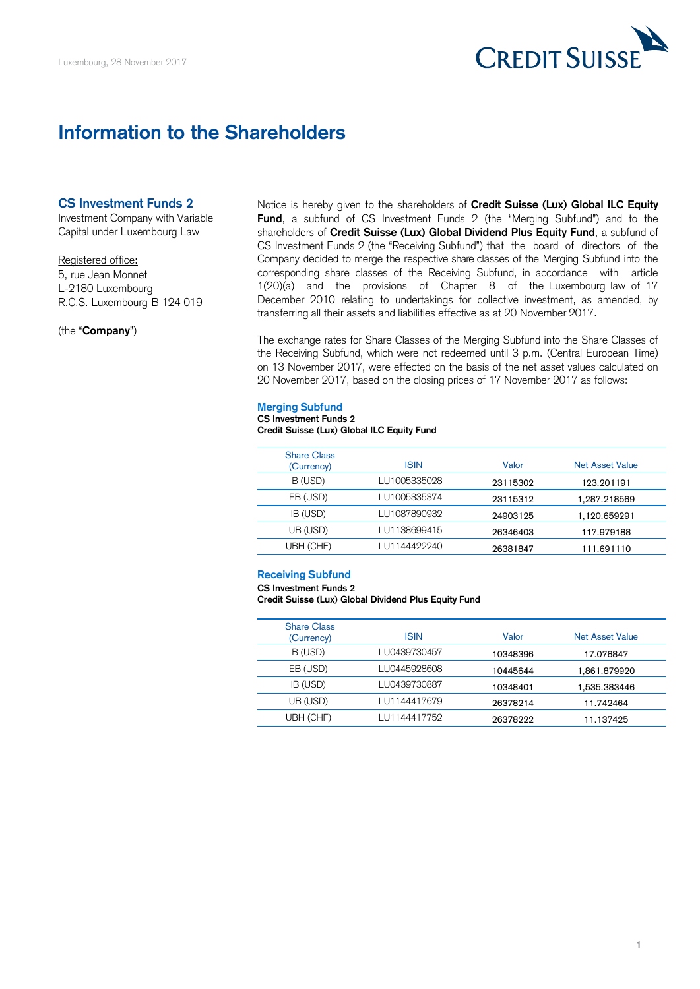

# **Information to the Shareholders**

## **CS Investment Funds 2**

Investment Company with Variable Capital under Luxembourg Law

#### Registered office:

5, rue Jean Monnet L-2180 Luxembourg R.C.S. Luxembourg B 124 019

(the "**Company**")

 **Fund**, a subfund of CS Investment Funds 2 (the "Merging Subfund") and to the shareholders of **Credit Suisse (Lux) Global Dividend Plus Equity Fund**, a subfund of CS Investment Funds 2 (the "Receiving Subfund") that the board of directors of the Notice is hereby given to the shareholders of **Credit Suisse (Lux) Global ILC Equity**  Company decided to merge the respective share classes of the Merging Subfund into the corresponding share classes of the Receiving Subfund, in accordance with article 1(20)(a) and the provisions of Chapter 8 of the Luxembourg law of 17 December 2010 relating to undertakings for collective investment, as amended, by transferring all their assets and liabilities effective as at 20 November 2017.

 The exchange rates for Share Classes of the Merging Subfund into the Share Classes of the Receiving Subfund, which were not redeemed until 3 p.m. (Central European Time) on 13 November 2017, were effected on the basis of the net asset values calculated on 20 November 2017, based on the closing prices of 17 November 2017 as follows:

### **Merging Subfund**

#### **CS Investment Funds 2 Credit Suisse (Lux) Global ILC Equity Fund**

| <b>Share Class</b><br>(Currency) | <b>ISIN</b>  | Valor    | Net Asset Value |
|----------------------------------|--------------|----------|-----------------|
| B (USD)                          | LU1005335028 | 23115302 | 123.201191      |
| EB (USD)                         | LU1005335374 | 23115312 | 1.287.218569    |
| IB (USD)                         | LU1087890932 | 24903125 | 1.120.659291    |
| UB (USD)                         | LU1138699415 | 26346403 | 117.979188      |
| UBH (CHF)                        | LU1144422240 | 26381847 | 111.691110      |

### **Receiving Subfund**

**CS Investment Funds 2** 

 **Credit Suisse (Lux) Global Dividend Plus Equity Fund** 

| <b>Share Class</b><br>(Currency) | <b>ISIN</b>  | Valor    | Net Asset Value |  |
|----------------------------------|--------------|----------|-----------------|--|
| B (USD)                          | LU0439730457 | 10348396 | 17.076847       |  |
| EB (USD)                         | LU0445928608 | 10445644 | 1.861.879920    |  |
| IB (USD)                         | LU0439730887 | 10348401 | 1.535.383446    |  |
| UB (USD)                         | LU1144417679 | 26378214 | 11.742464       |  |
| UBH (CHF)                        | LU1144417752 | 26378222 | 11.137425       |  |